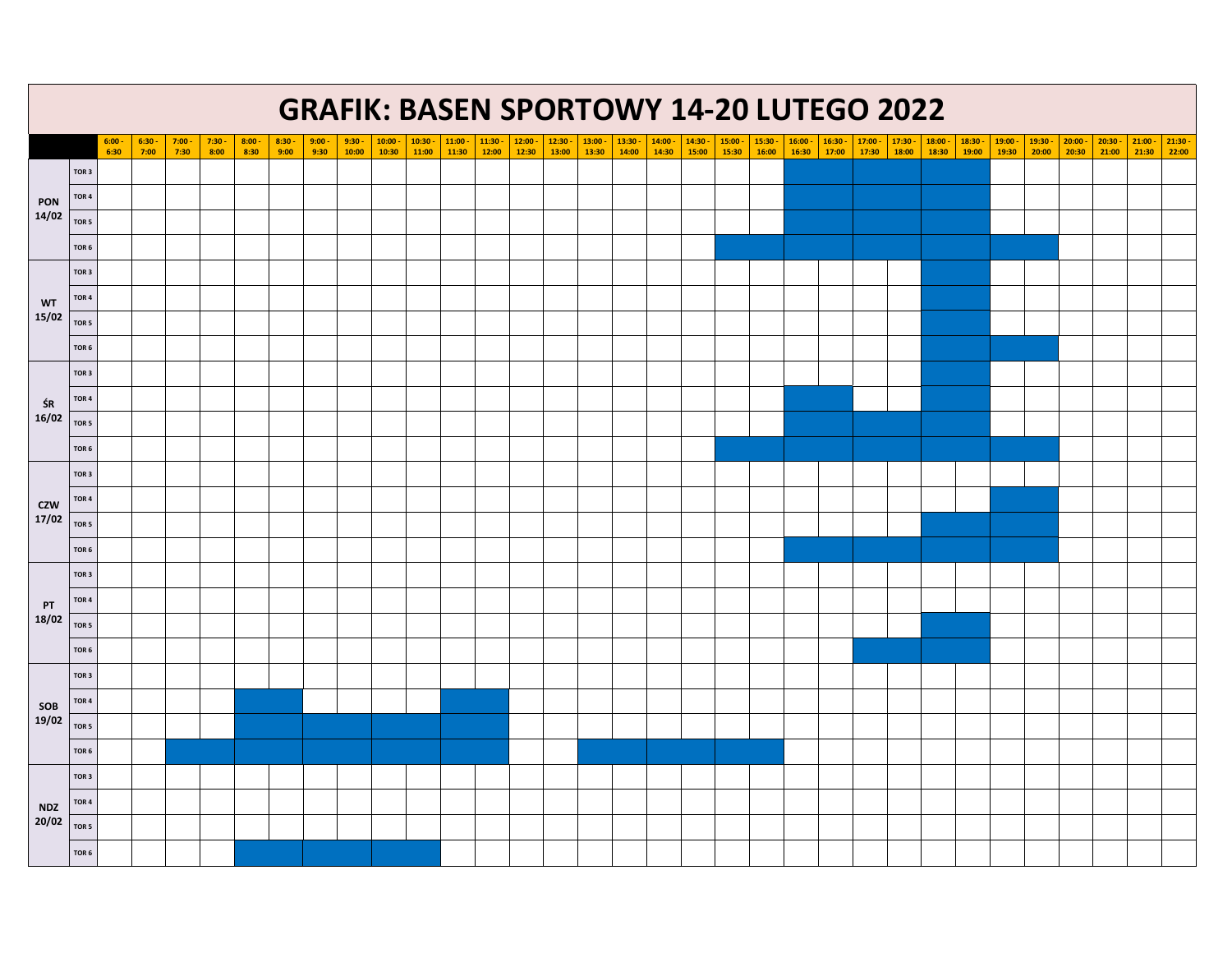